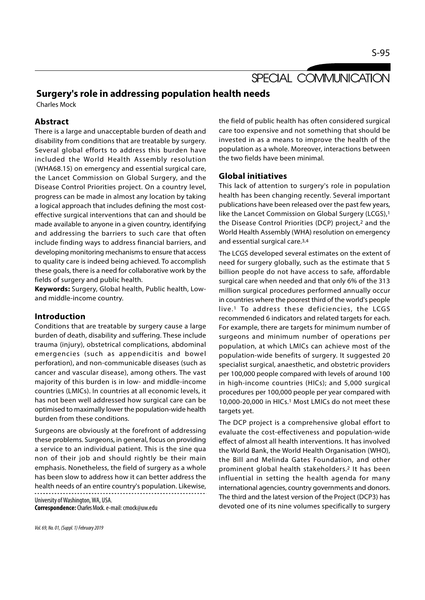# SPECIAL COMMUNICATION

# Surgery's role in addressing population health needs

Charles Mock

#### Abstract

There is a large and unacceptable burden of death and disability from conditions that are treatable by surgery. Several global efforts to address this burden have included the World Health Assembly resolution (WHA68.15) on emergency and essential surgical care, the Lancet Commission on Global Surgery, and the Disease Control Priorities project. On a country level, progress can be made in almost any location by taking a logical approach that includes defining the most costeffective surgical interventions that can and should be made available to anyone in a given country, identifying and addressing the barriers to such care that often include finding ways to address financial barriers, and developing monitoring mechanisms to ensure that access to quality care is indeed being achieved. To accomplish these goals, there is a need for collaborative work by the fields of surgery and public health.

Keywords: Surgery, Global health, Public health, Lowand middle-income country.

## Introduction

Conditions that are treatable by surgery cause a large burden of death, disability and suffering. These include trauma (injury), obstetrical complications, abdominal emergencies (such as appendicitis and bowel perforation), and non-communicable diseases (such as cancer and vascular disease), among others. The vast majority of this burden is in low- and middle-income countries (LMICs). In countries at all economic levels, it has not been well addressed how surgical care can be optimised to maximally lower the population-wide health burden from these conditions.

Surgeons are obviously at the forefront of addressing these problems. Surgeons, in general, focus on providing a service to an individual patient. This is the sine qua non of their job and should rightly be their main emphasis. Nonetheless, the field of surgery as a whole has been slow to address how it can better address the health needs of an entire country's population. Likewise,

University of Washington, WA, USA. Correspondence: Charles Mock. e-mail: cmock@uw.edu

Vol. 69, No. 01, (Suppl. 1) February 2019

the field of public health has often considered surgical care too expensive and not something that should be invested in as a means to improve the health of the population as a whole. Moreover, interactions between the two fields have been minimal.

## Global initiatives

This lack of attention to surgery's role in population health has been changing recently. Several important publications have been released over the past few years, like the Lancet Commission on Global Surgery (LCGS),<sup>1</sup> the Disease Control Priorities (DCP) project,2 and the World Health Assembly (WHA) resolution on emergency and essential surgical care.3,4

The LCGS developed several estimates on the extent of need for surgery globally, such as the estimate that 5 billion people do not have access to safe, affordable surgical care when needed and that only 6% of the 313 million surgical procedures performed annually occur in countries where the poorest third of the world's people live.1 To address these deficiencies, the LCGS recommended 6 indicators and related targets for each. For example, there are targets for minimum number of surgeons and minimum number of operations per population, at which LMICs can achieve most of the population-wide benefits of surgery. It suggested 20 specialist surgical, anaesthetic, and obstetric providers per 100,000 people compared with levels of around 100 in high-income countries (HICs); and 5,000 surgical procedures per 100,000 people per year compared with 10,000-20,000 in HICs.1 Most LMICs do not meet these targets yet.

The DCP project is a comprehensive global effort to evaluate the cost-effectiveness and population-wide effect of almost all health interventions. It has involved the World Bank, the World Health Organisation (WHO), the Bill and Melinda Gates Foundation, and other prominent global health stakeholders.2 It has been influential in setting the health agenda for many international agencies, country governments and donors. The third and the latest version of the Project (DCP3) has devoted one of its nine volumes specifically to surgery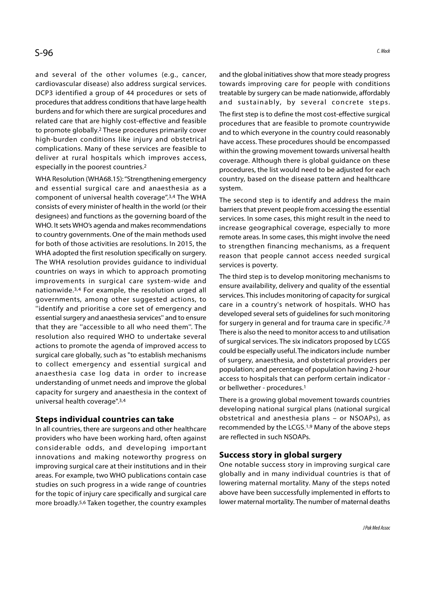and several of the other volumes (e.g., cancer, cardiovascular disease) also address surgical services. DCP3 identified a group of 44 procedures or sets of procedures that address conditions that have large health and sustainably, by several concrete steps. burdens and for which there are surgical procedures and related care that are highly cost-effective and feasible to promote globally.2 These procedures primarily cover high-burden conditions like injury and obstetrical complications. Many of these services are feasible to deliver at rural hospitals which improves access, especially in the poorest countries.2

WHA Resolution (WHA68.15): "Strengthening emergency and essential surgical care and anaesthesia as a component of universal health coverage".<sup>3,4</sup> The WHA consists of every minister of health in the world (or their designees) and functions as the governing board of the WHO. It sets WHO's agenda and makes recommendations to country governments. One of the main methods used for both of those activities are resolutions. In 2015, the WHA adopted the first resolution specifically on surgery. The WHA resolution provides guidance to individual countries on ways in which to approach promoting improvements in surgical care system-wide and nationwide.3,4 For example, the resolution urged all governments, among other suggested actions, to ''identify and prioritise a core set of emergency and essential surgery and anaesthesia services'' and to ensure that they are ''accessible to all who need them''. The resolution also required WHO to undertake several actions to promote the agenda of improved access to surgical care globally, such as "to establish mechanisms to collect emergency and essential surgical and anaesthesia case log data in order to increase understanding of unmet needs and improve the global capacity for surgery and anaesthesia in the context of universal health coverage".3,4

## Steps individual countries can take

In all countries, there are surgeons and other healthcare providers who have been working hard, often against considerable odds, and developing important innovations and making noteworthy progress on improving surgical care at their institutions and in their areas. For example, two WHO publications contain case studies on such progress in a wide range of countries for the topic of injury care specifically and surgical care more broadly.5,6 Taken together, the country examples

and the global initiatives show that more steady progress towards improving care for people with conditions treatable by surgery can be made nationwide, affordably C Mook<br>
and the global initiatives show that more steady progress<br>
towards improving care for people with conditions<br>
treatable by surgery can be made nationwide, affordably<br>
and sustainably, by several concrete steps.<br>
Th The first step is to define the most cost-effective surgical procedures that are feasible to promote countrywide and to which everyone in the country could reasonably have access. These procedures should be encompassed within the growing movement towards universal health coverage. Although there is global guidance on these procedures, the list would need to be adjusted for each country, based on the disease pattern and healthcare system.

The second step is to identify and address the main barriers that prevent people from accessing the essential services. In some cases, this might result in the need to increase geographical coverage, especially to more remote areas. In some cases, this might involve the need to strengthen financing mechanisms, as a frequent reason that people cannot access needed surgical services is poverty.

The third step is to develop monitoring mechanisms to ensure availability, delivery and quality of the essential services. This includes monitoring of capacity for surgical care in a country's network of hospitals. WHO has developed several sets of guidelines for such monitoring for surgery in general and for trauma care in specific.7,8 There is also the need to monitor access to and utilisation of surgical services. The six indicators proposed by LCGS could be especially useful. The indicators include number of surgery, anaesthesia, and obstetrical providers per population; and percentage of population having 2-hour access to hospitals that can perform certain indicator or bellwether - procedures.1

There is a growing global movement towards countries developing national surgical plans (national surgical obstetrical and anesthesia plans – or NSOAPs), as recommended by the LCGS.1,9 Many of the above steps are reflected in such NSOAPs.

## Success story in global surgery

One notable success story in improving surgical care globally and in many individual countries is that of lowering maternal mortality. Many of the steps noted above have been successfully implemented in efforts to lower maternal mortality. The number of maternal deaths